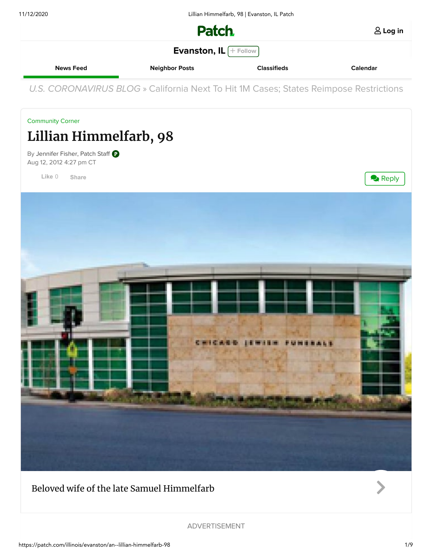11/12/2020 Lillian Himmelfarb, 98 | Evanston, IL Patch



**Log in**

**[Evanston, IL](https://patch.com/illinois/evanston) Finallishing** 

**[News Feed](https://patch.com/illinois/evanston) [Neighbor Posts](https://patch.com/illinois/evanston/posts) [Classifieds](https://patch.com/illinois/evanston/classifieds) [Calendar](https://patch.com/illinois/evanston/calendar)**

U.S. CORONAVIRUS BLOG » [California Next To Hit 1M Cases; States Reimpose Restrictions](https://patch.com/illinois/evanston/s/hb7ic/california-next-to-hit-1m-cases-states-reimpose-restrictions)

[Community Corner](https://patch.com/illinois/evanston/around-town)

## **Lillian Himmelfarb, 98**

By [Jennifer Fisher, Patch Staff](https://patch.com/users/jennifer-fisher) Aug 12, 2012 4:27 pm CT

**Like** 0 **[Share](https://www.facebook.com/sharer/sharer.php?u=https%3A%2F%2Fpatch.com%2Fillinois%2Fevanston%2Fan--lillian-himmelfarb-98&display=popup&ref=plugin&src=like&kid_directed_site=0)**



## Beloved wife of the late Samuel Himmelfarb



ADVERTISEMENT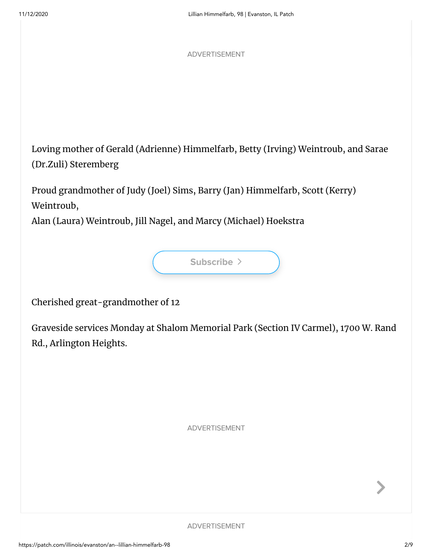ADVERTISEMENT

Loving mother of Gerald (Adrienne) Himmelfarb, Betty (Irving) Weintroub, and Sarae (Dr.Zuli) Steremberg

Proud grandmother of Judy (Joel) Sims, Barry (Jan) Himmelfarb, Scott (Kerry) Weintroub,

Alan (Laura) Weintroub, Jill Nagel, and Marcy (Michael) Hoekstra



Cherished great-grandmother of 12

Graveside services Monday at Shalom Memorial Park (Section IV Carmel), 1700 W. Rand Rd., Arlington Heights.

ADVERTISEMENT

ADVERTISEMENT

 $\blacktriangleright$